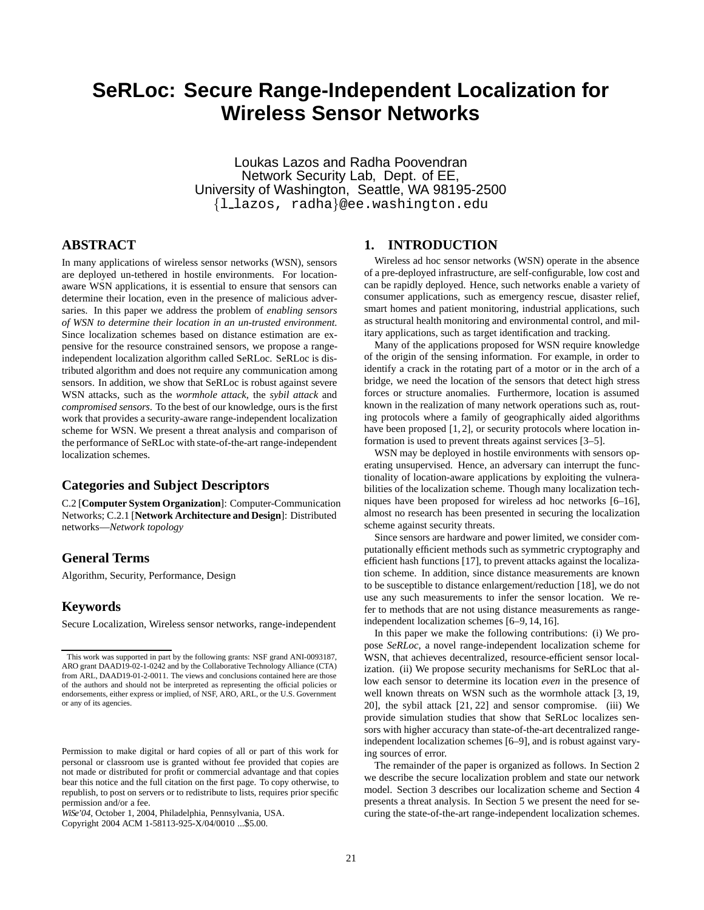# **SeRLoc: Secure Range-Independent Localization for Wireless Sensor Networks**

Loukas Lazos and Radha Poovendran Network Security Lab, Dept. of EE, University of Washington, Seattle, WA 98195-2500 *{*l lazos, radha*}*@ee.washington.edu

# **ABSTRACT**

In many applications of wireless sensor networks (WSN), sensors are deployed un-tethered in hostile environments. For locationaware WSN applications, it is essential to ensure that sensors can determine their location, even in the presence of malicious adversaries. In this paper we address the problem of *enabling sensors of WSN to determine their location in an un-trusted environment.* Since localization schemes based on distance estimation are expensive for the resource constrained sensors, we propose a rangeindependent localization algorithm called SeRLoc. SeRLoc is distributed algorithm and does not require any communication among sensors. In addition, we show that SeRLoc is robust against severe WSN attacks, such as the *wormhole attack*, the *sybil attack* and *compromised sensors*. To the best of our knowledge, ours is the first work that provides a security-aware range-independent localization scheme for WSN. We present a threat analysis and comparison of the performance of SeRLoc with state-of-the-art range-independent localization schemes.

# **Categories and Subject Descriptors**

C.2 [**Computer System Organization**]: Computer-Communication Networks; C.2.1 [**Network Architecture and Design**]: Distributed networks—*Network topology*

# **General Terms**

Algorithm, Security, Performance, Design

# **Keywords**

Secure Localization, Wireless sensor networks, range-independent

Copyright 2004 ACM 1-58113-925-X/04/0010 ...\$5.00.

# **1. INTRODUCTION**

Wireless ad hoc sensor networks (WSN) operate in the absence of a pre-deployed infrastructure, are self-configurable, low cost and can be rapidly deployed. Hence, such networks enable a variety of consumer applications, such as emergency rescue, disaster relief, smart homes and patient monitoring, industrial applications, such as structural health monitoring and environmental control, and military applications, such as target identification and tracking.

Many of the applications proposed for WSN require knowledge of the origin of the sensing information. For example, in order to identify a crack in the rotating part of a motor or in the arch of a bridge, we need the location of the sensors that detect high stress forces or structure anomalies. Furthermore, location is assumed known in the realization of many network operations such as, routing protocols where a family of geographically aided algorithms have been proposed [1, 2], or security protocols where location information is used to prevent threats against services [3–5].

WSN may be deployed in hostile environments with sensors operating unsupervised. Hence, an adversary can interrupt the functionality of location-aware applications by exploiting the vulnerabilities of the localization scheme. Though many localization techniques have been proposed for wireless ad hoc networks [6–16], almost no research has been presented in securing the localization scheme against security threats.

Since sensors are hardware and power limited, we consider computationally efficient methods such as symmetric cryptography and efficient hash functions [17], to prevent attacks against the localization scheme. In addition, since distance measurements are known to be susceptible to distance enlargement/reduction [18], we do not use any such measurements to infer the sensor location. We refer to methods that are not using distance measurements as rangeindependent localization schemes [6–9, 14, 16].

In this paper we make the following contributions: (i) We propose *SeRLoc*, a novel range-independent localization scheme for WSN, that achieves decentralized, resource-efficient sensor localization. (ii) We propose security mechanisms for SeRLoc that allow each sensor to determine its location *even* in the presence of well known threats on WSN such as the wormhole attack [3, 19, 20], the sybil attack [21, 22] and sensor compromise. (iii) We provide simulation studies that show that SeRLoc localizes sensors with higher accuracy than state-of-the-art decentralized rangeindependent localization schemes [6–9], and is robust against varying sources of error.

The remainder of the paper is organized as follows. In Section 2 we describe the secure localization problem and state our network model. Section 3 describes our localization scheme and Section 4 presents a threat analysis. In Section 5 we present the need for securing the state-of-the-art range-independent localization schemes.

This work was supported in part by the following grants: NSF grand ANI-0093187, ARO grant DAAD19-02-1-0242 and by the Collaborative Technology Alliance (CTA) from ARL, DAAD19-01-2-0011. The views and conclusions contained here are those of the authors and should not be interpreted as representing the official policies or endorsements, either express or implied, of NSF, ARO, ARL, or the U.S. Government or any of its agencies.

Permission to make digital or hard copies of all or part of this work for personal or classroom use is granted without fee provided that copies are not made or distributed for profit or commercial advantage and that copies bear this notice and the full citation on the first page. To copy otherwise, to republish, to post on servers or to redistribute to lists, requires prior specific permission and/or a fee.

*WiSe'04,* October 1, 2004, Philadelphia, Pennsylvania, USA.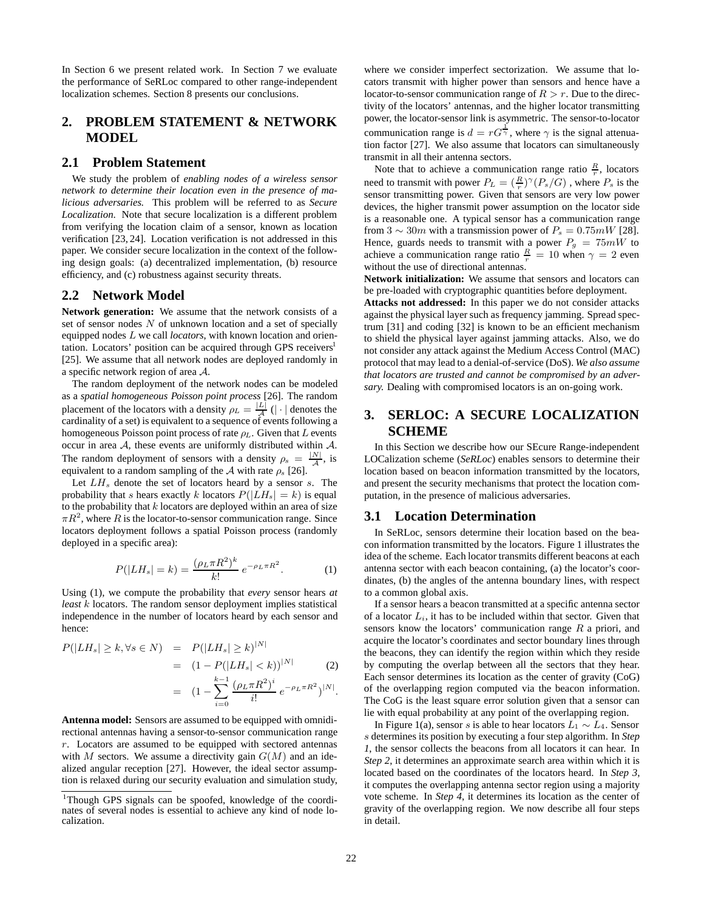In Section 6 we present related work. In Section 7 we evaluate the performance of SeRLoc compared to other range-independent localization schemes. Section 8 presents our conclusions.

# **2. PROBLEM STATEMENT & NETWORK MODEL**

# **2.1 Problem Statement**

We study the problem of *enabling nodes of a wireless sensor network to determine their location even in the presence of malicious adversaries.* This problem will be referred to as *Secure Localization*. Note that secure localization is a different problem from verifying the location claim of a sensor, known as location verification [23, 24]. Location verification is not addressed in this paper. We consider secure localization in the context of the following design goals: (a) decentralized implementation, (b) resource efficiency, and (c) robustness against security threats.

# **2.2 Network Model**

**Network generation:** We assume that the network consists of a set of sensor nodes  $N$  of unknown location and a set of specially equipped nodes L we call *locators*, with known location and orientation. Locators' position can be acquired through GPS receivers<sup>1</sup> [25]. We assume that all network nodes are deployed randomly in a specific network region of area A.

The random deployment of the network nodes can be modeled as a *spatial homogeneous Poisson point process* [26]. The random placement of the locators with a density  $\rho_L = \frac{|L|}{\mathcal{A}} (|\cdot|)$  denotes the cardinality of a set) is equivalent to a sequence of events following a cardinality of a set) is equivalent to a sequence of events following a homogeneous Poisson point process of rate  $\rho_L$ . Given that L events occur in area  $A$ , these events are uniformly distributed within  $A$ . The random deployment of sensors with a density  $\rho_s = \frac{|N|}{\mathcal{A}}$ , is equivalent to a random sampling of the 4 with rate  $\rho$  [26] equivalent to a random sampling of the A with rate  $\rho_s$  [26].

Let  $LH_s$  denote the set of locators heard by a sensor s. The probability that s hears exactly k locators  $P(|LH_s| = k)$  is equal to the probability that  $k$  locators are deployed within an area of size  $\pi R^2$ , where R is the locator-to-sensor communication range. Since locators deployment follows a spatial Poisson process (randomly deployed in a specific area):

$$
P(|LH_s| = k) = \frac{(\rho_L \pi R^2)^k}{k!} e^{-\rho_L \pi R^2}.
$$
 (1)  
Using (1), we compute the probability that *every* sensor hears *at*

*least* k locators. The random sensor deployment implies statistical independence in the number of locators heard by each sensor and hence:

$$
P(|LH_s| \ge k, \forall s \in N) = P(|LH_s| \ge k)^{|N|}
$$
  
=  $(1 - P(|LH_s| < k))^{|N|}$  (2)  
=  $(1 - \sum_{i=0}^{k-1} \frac{(\rho_L \pi R^2)^i}{i!} e^{-\rho_L \pi R^2})^{|N|}.$ 

**Antenna model:** Sensors are assumed to be equipped with omnidirectional antennas having a sensor-to-sensor communication range  $r$ . Locators are assumed to be equipped with sectored antennas with M sectors. We assume a directivity gain  $G(M)$  and an idealized angular reception [27]. However, the ideal sector assumption is relaxed during our security evaluation and simulation study, where we consider imperfect sectorization. We assume that locators transmit with higher power than sensors and hence have a locator-to-sensor communication range of  $R>r$ . Due to the directivity of the locators' antennas, and the higher locator transmitting power, the locator-sensor link is asymmetric. The sensor-to-locator communication range is  $d = rG^{\frac{1}{2}}$ , where  $\gamma$  is the signal attenuation factor [27]. We also assume that locators can simultaneously tion factor [27]. We also assume that locators can simultaneously transmit in all their antenna sectors.

Note that to achieve a communication range ratio  $\frac{R}{r}$ , locators need to transmit with power  $P_L = \left(\frac{R}{r}\right)^{\gamma} (P_s/G)$ , where  $P_s$  is the sensor transmitting nower. Given that sensors are very low nower sensor transmitting power. Given that sensors are very low power devices, the higher transmit power assumption on the locator side is a reasonable one. A typical sensor has a communication range from 3  $\sim 30m$  with a transmission power of  $P_s = 0.75mW$  [28]. Hence, guards needs to transmit with a power  $P_g = 75mW$  to achieve a communication range ratio  $\frac{R}{r} = 10$  when  $\gamma = 2$  even without the use of directional antennas without the use of directional antennas.

**Network initialization:** We assume that sensors and locators can be pre-loaded with cryptographic quantities before deployment.

**Attacks not addressed:** In this paper we do not consider attacks against the physical layer such as frequency jamming. Spread spectrum [31] and coding [32] is known to be an efficient mechanism to shield the physical layer against jamming attacks. Also, we do not consider any attack against the Medium Access Control (MAC) protocol that may lead to a denial-of-service (DoS). *We also assume that locators are trusted and cannot be compromised by an adversary.* Dealing with compromised locators is an on-going work.

# **SERLOC: A SECURE LOCALIZATION SCHEME**

In this Section we describe how our SEcure Range-independent LOCalization scheme (*SeRLoc*) enables sensors to determine their location based on beacon information transmitted by the locators, and present the security mechanisms that protect the location computation, in the presence of malicious adversaries.

# **3.1 Location Determination**

In SeRLoc, sensors determine their location based on the beacon information transmitted by the locators. Figure 1 illustrates the idea of the scheme. Each locator transmits different beacons at each antenna sector with each beacon containing, (a) the locator's coordinates, (b) the angles of the antenna boundary lines, with respect to a common global axis.

If a sensor hears a beacon transmitted at a specific antenna sector of a locator  $L_i$ , it has to be included within that sector. Given that sensors know the locators' communication range  $R$  a priori, and acquire the locator's coordinates and sector boundary lines through the beacons, they can identify the region within which they reside by computing the overlap between all the sectors that they hear. Each sensor determines its location as the center of gravity (CoG) of the overlapping region computed via the beacon information. The CoG is the least square error solution given that a sensor can lie with equal probability at any point of the overlapping region.

In Figure 1(a), sensor s is able to hear locators  $L_1 \sim L_4$ . Sensor s determines its position by executing a four step algorithm. In *Step 1*, the sensor collects the beacons from all locators it can hear. In *Step 2*, it determines an approximate search area within which it is located based on the coordinates of the locators heard. In *Step 3*, it computes the overlapping antenna sector region using a majority vote scheme. In *Step 4*, it determines its location as the center of gravity of the overlapping region. We now describe all four steps in detail.

<sup>&</sup>lt;sup>1</sup>Though GPS signals can be spoofed, knowledge of the coordinates of several nodes is essential to achieve any kind of node localization.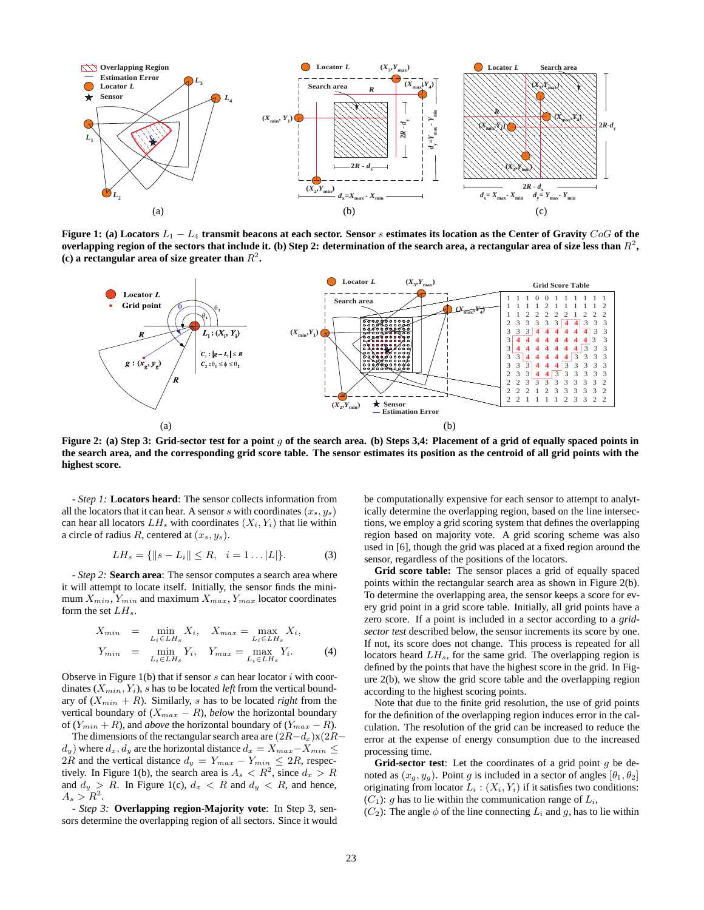

**Figure 1: (a) Locators** L<sup>1</sup> − L<sup>4</sup> **transmit beacons at each sector. Sensor** s **estimates its location as the Center of Gravity** CoG **of the overlapping region of the sectors that include it. (b) Step 2: determination of the search area, a rectangular area of size less than**  $R^2$ , **(c) a rectangular area of size greater than**  $R^2$ .



**Figure 2: (a) Step 3: Grid-sector test for a point** g **of the search area. (b) Steps 3,4: Placement of a grid of equally spaced points in the search area, and the corresponding grid score table. The sensor estimates its position as the centroid of all grid points with the highest score.**

- *Step 1:* **Locators heard**: The sensor collects information from all the locators that it can hear. A sensor s with coordinates  $(x_s, y_s)$ can hear all locators  $LH_s$  with coordinates  $(X_i, Y_i)$  that lie within a circle of radius R, centered at  $(x_s, y_s)$ .

$$
LH_s = \{ ||s - L_i|| \le R, \quad i = 1 \dots |L| \}.
$$
 (3)

- *Step 2:* **Search area**: The sensor computes a search area where it will attempt to locate itself. Initially, the sensor finds the minimum  $X_{min}$ ,  $Y_{min}$  and maximum  $X_{max}$ ,  $Y_{max}$  locator coordinates form the set  $LH_s$ .

$$
X_{min} = \min_{L_i \in LH_s} X_i, \quad X_{max} = \max_{L_i \in LH_s} X_i,
$$
  

$$
Y_{min} = \min_{L_i \in LH_s} Y_i, \quad Y_{max} = \max_{L_i \in LH_s} Y_i.
$$
 (4)

Observe in Figure  $1(b)$  that if sensor s can hear locator i with coordinates  $(X_{min}, Y_i)$ , s has to be located *left* from the vertical boundary of  $(X_{min} + R)$ . Similarly, s has to be located *right* from the vertical boundary of  $(X_{max} - R)$ , *below* the horizontal boundary of  $(Y_{min} + R)$ , and *above* the horizontal boundary of  $(Y_{max} - R)$ .

The dimensions of the rectangular search area are  $(2R-d_x)x(2R-\frac{1}{2}x)$  $d_y$ ) where  $d_x$ ,  $d_y$  are the horizontal distance  $d_x = X_{max} - X_{min}$ 2R and the vertical distance  $d_y = Y_{max} - Y_{min} \leq 2R$ , respectively. In Figure 1(b), the search area is  $A_s < R^2$ , since  $d_x > R$ and  $d_y > R$ . In Figure 1(c),  $d_x < R$  and  $d_y < R$ , and hence,  $A_s > R^2$ .

- *Step 3:* **Overlapping region-Majority vote**: In Step 3, sensors determine the overlapping region of all sectors. Since it would be computationally expensive for each sensor to attempt to analytically determine the overlapping region, based on the line intersections, we employ a grid scoring system that defines the overlapping region based on majority vote. A grid scoring scheme was also used in [6], though the grid was placed at a fixed region around the sensor, regardless of the positions of the locators.

**Grid score table:** The sensor places a grid of equally spaced points within the rectangular search area as shown in Figure 2(b). To determine the overlapping area, the sensor keeps a score for every grid point in a grid score table. Initially, all grid points have a zero score. If a point is included in a sector according to a *gridsector test* described below, the sensor increments its score by one. If not, its score does not change. This process is repeated for all locators heard  $LH_s$ , for the same grid. The overlapping region is defined by the points that have the highest score in the grid. In Figure 2(b), we show the grid score table and the overlapping region according to the highest scoring points.

Note that due to the finite grid resolution, the use of grid points for the definition of the overlapping region induces error in the calculation. The resolution of the grid can be increased to reduce the error at the expense of energy consumption due to the increased processing time.

Grid-sector test: Let the coordinates of a grid point g be denoted as  $(x_g, y_g)$ . Point g is included in a sector of angles  $[\theta_1, \theta_2]$ originating from locator  $L_i : (X_i, Y_i)$  if it satisfies two conditions:  $(C_1)$ : q has to lie within the communication range of  $L_i$ ,

 $(C_2)$ : The angle  $\phi$  of the line connecting  $L_i$  and g, has to lie within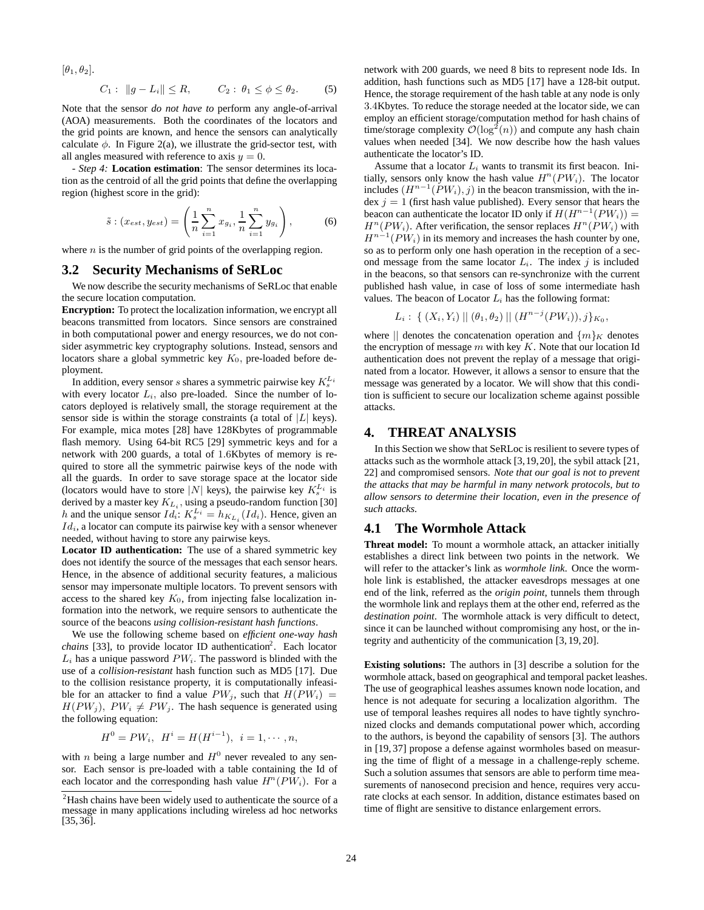$[\theta_1, \theta_2]$ .

$$
C_1: \|g - L_i\| \le R
$$
,  $C_2: \theta_1 \le \phi \le \theta_2$ . (5)

Note that the sensor *do not have to* perform any angle-of-arrival (AOA) measurements. Both the coordinates of the locators and the grid points are known, and hence the sensors can analytically calculate  $\phi$ . In Figure 2(a), we illustrate the grid-sector test, with all angles measured with reference to axis  $y = 0$ .

- *Step 4:* **Location estimation**: The sensor determines its location as the centroid of all the grid points that define the overlapping region (highest score in the grid):

$$
\tilde{s} : (x_{est}, y_{est}) = \left(\frac{1}{n} \sum_{i=1}^{n} x_{gi}, \frac{1}{n} \sum_{i=1}^{n} y_{gi}\right),
$$
 (6)

where  $n$  is the number of grid points of the overlapping region.

# **3.2 Security Mechanisms of SeRLoc**

We now describe the security mechanisms of SeRLoc that enable the secure location computation.

**Encryption:** To protect the localization information, we encrypt all beacons transmitted from locators. Since sensors are constrained in both computational power and energy resources, we do not consider asymmetric key cryptography solutions. Instead, sensors and locators share a global symmetric key  $K_0$ , pre-loaded before deployment.

In addition, every sensor s shares a symmetric pairwise key  $K_s^{L_i}$ with every locator  $L_i$ , also pre-loaded. Since the number of locators deployed is relatively small, the storage requirement at the sensor side is within the storage constraints (a total of  $|L|$  keys). For example, mica motes [28] have 128Kbytes of programmable flash memory. Using 64-bit RC5 [29] symmetric keys and for a network with 200 guards, a total of 1.6Kbytes of memory is required to store all the symmetric pairwise keys of the node with all the guards. In order to save storage space at the locator side (locators would have to store |N| keys), the pairwise key  $K_s^{L_i}$  is derived by a master key  $K_{L_i}$ , using a pseudo-random function [30] h and the unique sensor  $Id_i: K_s^{L_i} = h_{K_{L_i}}(Id_i)$ . Hence, given an  $Id_i$ , a locator can compute its pairwise key with a sensor whenever needed, without having to store any pairwise keys.

**Locator ID authentication:** The use of a shared symmetric key does not identify the source of the messages that each sensor hears. Hence, in the absence of additional security features, a malicious sensor may impersonate multiple locators. To prevent sensors with access to the shared key  $K_0$ , from injecting false localization information into the network, we require sensors to authenticate the source of the beacons *using collision-resistant hash functions*.

We use the following scheme based on *efficient one-way hash* chains [33], to provide locator ID authentication<sup>2</sup>. Each locator  $L_i$  has a unique password  $PW_i$ . The password is blinded with the use of a *collision-resistant* hash function such as MD5 [17]. Due to the collision resistance property, it is computationally infeasible for an attacker to find a value  $PW_i$ , such that  $H(PW_i)$  =  $H(PW_i)$ ,  $PW_i \neq PW_j$ . The hash sequence is generated using the following equation:

$$
H^{0} = PW_{i}, \ H^{i} = H(H^{i-1}), \ i = 1, \cdots, n,
$$

with *n* being a large number and  $H^0$  never revealed to any sensor. Each sensor is pre-loaded with a table containing the Id of each locator and the corresponding hash value  $H^{n}(PW_i)$ . For a network with 200 guards, we need 8 bits to represent node Ids. In addition, hash functions such as MD5 [17] have a 128-bit output. Hence, the storage requirement of the hash table at any node is only 3.4Kbytes. To reduce the storage needed at the locator side, we can employ an efficient storage/computation method for hash chains of time/storage complexity  $\mathcal{O}(\log^2(n))$  and compute any hash chain values when needed [34]. We now describe how the hash values authenticate the locator's ID.

Assume that a locator  $L_i$  wants to transmit its first beacon. Initially, sensors only know the hash value  $H^n(PW_i)$ . The locator includes  $(H^{n-1}(PW_i), j)$  in the beacon transmission, with the index  $j = 1$  (first hash value published). Every sensor that hears the beacon can authenticate the locator ID only if  $H(H^{n-1}(PW_i)) =$  $H^n(PW_i)$ . After verification, the sensor replaces  $H^n(PW_i)$  with  $H^{n-1}(PW_i)$  in its memory and increases the hash counter by one, so as to perform only one hash operation in the reception of a second message from the same locator  $L_i$ . The index j is included in the beacons, so that sensors can re-synchronize with the current published hash value, in case of loss of some intermediate hash values. The beacon of Locator  $L_i$  has the following format:

$$
L_i: \{ (X_i,Y_i) \mid \mid (\theta_1,\theta_2) \mid \mid (H^{n-j}(PW_i)),j \}_{K_0},
$$

where  $\|$  denotes the concatenation operation and  $\{m\}_K$  denotes the encryption of message  $m$  with key  $K$ . Note that our location Id authentication does not prevent the replay of a message that originated from a locator. However, it allows a sensor to ensure that the message was generated by a locator. We will show that this condition is sufficient to secure our localization scheme against possible attacks.

## **4. THREAT ANALYSIS**

In this Section we show that SeRLoc is resilient to severe types of attacks such as the wormhole attack [3,19,20], the sybil attack [21, 22] and compromised sensors. *Note that our goal is not to prevent the attacks that may be harmful in many network protocols, but to allow sensors to determine their location, even in the presence of such attacks.*

#### **4.1 The Wormhole Attack**

**Threat model:** To mount a wormhole attack, an attacker initially establishes a direct link between two points in the network. We will refer to the attacker's link as *wormhole link*. Once the wormhole link is established, the attacker eavesdrops messages at one end of the link, referred as the *origin point*, tunnels them through the wormhole link and replays them at the other end, referred as the *destination point*. The wormhole attack is very difficult to detect, since it can be launched without compromising any host, or the integrity and authenticity of the communication [3, 19, 20].

**Existing solutions:** The authors in [3] describe a solution for the wormhole attack, based on geographical and temporal packet leashes. The use of geographical leashes assumes known node location, and hence is not adequate for securing a localization algorithm. The use of temporal leashes requires all nodes to have tightly synchronized clocks and demands computational power which, according to the authors, is beyond the capability of sensors [3]. The authors in [19, 37] propose a defense against wormholes based on measuring the time of flight of a message in a challenge-reply scheme. Such a solution assumes that sensors are able to perform time measurements of nanosecond precision and hence, requires very accurate clocks at each sensor. In addition, distance estimates based on time of flight are sensitive to distance enlargement errors.

 $2$ Hash chains have been widely used to authenticate the source of a message in many applications including wireless ad hoc networks [35, 36].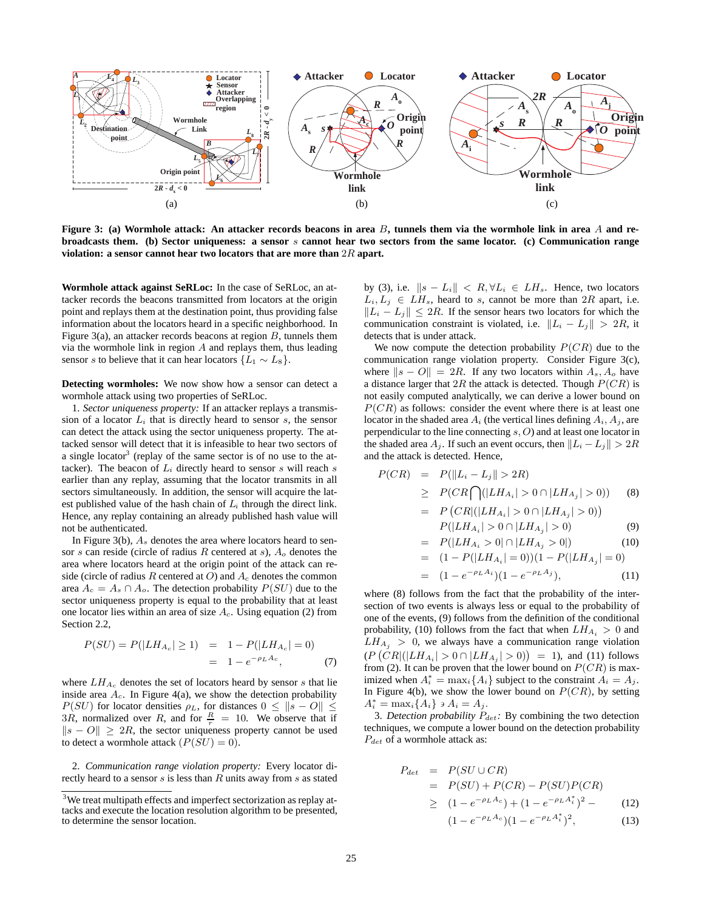

**Figure 3: (a) Wormhole attack: An attacker records beacons in area** B**, tunnels them via the wormhole link in area** A **and rebroadcasts them. (b) Sector uniqueness: a sensor** s **cannot hear two sectors from the same locator. (c) Communication range violation: a sensor cannot hear two locators that are more than** 2<sup>R</sup> **apart.**

**Wormhole attack against SeRLoc:** In the case of SeRLoc, an attacker records the beacons transmitted from locators at the origin point and replays them at the destination point, thus providing false information about the locators heard in a specific neighborhood. In Figure 3(a), an attacker records beacons at region  $B$ , tunnels them via the wormhole link in region  $A$  and replays them, thus leading sensor s to believe that it can hear locators  $\{L_1 \sim L_8\}$ .

**Detecting wormholes:** We now show how a sensor can detect a wormhole attack using two properties of SeRLoc.

1. *Sector uniqueness property:* If an attacker replays a transmission of a locator  $L_i$  that is directly heard to sensor s, the sensor can detect the attack using the sector uniqueness property. The attacked sensor will detect that it is infeasible to hear two sectors of a single locator<sup>3</sup> (replay of the same sector is of no use to the attacker). The beacon of  $L_i$  directly heard to sensor s will reach s earlier than any replay, assuming that the locator transmits in all sectors simultaneously. In addition, the sensor will acquire the latest published value of the hash chain of  $L<sub>i</sub>$  through the direct link. Hence, any replay containing an already published hash value will not be authenticated.

In Figure 3(b),  $A_s$  denotes the area where locators heard to sensor s can reside (circle of radius R centered at s),  $A_0$  denotes the area where locators heard at the origin point of the attack can reside (circle of radius R centered at O) and  $A_c$  denotes the common area  $A_c = A_s \cap A_o$ . The detection probability  $P(SU)$  due to the sector uniqueness property is equal to the probability that at least one locator lies within an area of size  $A_c$ . Using equation (2) from Section 2.2,

$$
P(SU) = P(|LH_{A_c}| \ge 1) = 1 - P(|LH_{A_c}| = 0)
$$
  
= 1 - e<sup>- $\rho$ L A<sub>c</sub></sup>, (7)

where  $LH_{A_c}$  denotes the set of locators heard by sensor s that lie inside area  $A_c$ . In Figure 4(a), we show the detection probability  $P(SU)$  for locator densities  $\rho_L$ , for distances  $0 \leq ||s - O|| \leq$ 3R, normalized over R, and for  $\frac{R}{r} = 10$ . We observe that if  $\ln s = O\left(\frac{R}{r}\right) > 2R$  the sector uniqueness property cannot be used  $||s - O|| \geq 2R$ , the sector uniqueness property cannot be used to detect a wormhole attack  $(P(SU) = 0)$ .

2. *Communication range violation property:* Every locator directly heard to a sensor  $s$  is less than  $R$  units away from  $s$  as stated by (3), i.e.  $||s - L_i|| < R$ ,  $\forall L_i \in LH_s$ . Hence, two locators  $L_i, L_j \in LH_s$ , heard to s, cannot be more than  $2R$  apart, i.e.  $||L_i - L_j|| \leq 2R$ . If the sensor hears two locators for which the communication constraint is violated, i.e.  $||L_i - L_j|| > 2R$ , it detects that is under attack.

We now compute the detection probability  $P(CR)$  due to the communication range violation property. Consider Figure 3(c), where  $||s - O|| = 2R$ . If any two locators within  $A_s$ ,  $A_o$  have a distance larger that 2R the attack is detected. Though  $P(CR)$  is not easily computed analytically, we can derive a lower bound on  $P(CR)$  as follows: consider the event where there is at least one locator in the shaded area  $A_i$  (the vertical lines defining  $A_i$ ,  $A_j$ , are perpendicular to the line connecting s, O) and at least one locator in the shaded area  $A_i$ . If such an event occurs, then  $||L_i - L_j|| > 2R$ and the attack is detected. Hence,

$$
P(CR) = P(||L_i - L_j|| > 2R)
$$
  
\n
$$
\geq P(CR \bigcap (|LH_{A_i}| > 0 \cap |LH_{A_j}| > 0))
$$
 (8)  
\n
$$
= P(CR | (|LH_{A_i}| > 0 \cap |LH_{A_j}| > 0))
$$

$$
P(|LH_{A_i}| > 0 \cap |LH_{A_j}| > 0)
$$
\n<sup>(9)</sup>\n
$$
P(|LH_{A_i}| > 0 \cap |LH_{A_j}| > 0)
$$
\n<sup>(10)</sup>

$$
= P(|LH_{A_i} > 0| \cap |LH_{A_j} > 0|)
$$
\n
$$
= (1 - P(|LH_{A_i}| = 0))(1 - P(|LH_{A_j}| = 0))
$$
\n(10)

$$
= (1 - e^{-\rho_L A_i})(1 - e^{-\rho_L A_j}), \qquad (11)
$$

where (8) follows from the fact that the probability of the intersection of two events is always less or equal to the probability of one of the events, (9) follows from the definition of the conditional probability, (10) follows from the fact that when  $LH_{A_i} > 0$  and  $LH_{A_i} > 0$ , we always have a communication range violation  $(P(CR|||LH_{A_i}|>0 \cap |LH_{A_j}|>0)) = 1$ , and (11) follows<br>from (2) It can be proven that the lower bound on  $P(CR)$  is maxfrom (2). It can be proven that the lower bound on  $P(CR)$  is maximized when  $A_i^* = \max_i \{A_i\}$  subject to the constraint  $A_i = A_j$ .<br>In Figure 4(b), we show the lower bound on  $P(CR)$  by setting In Figure 4(b), we show the lower bound on  $P(CR)$ , by setting  $A_i^* = \max_i \{A_i\} \ni A_i = A_j.$ <br>3 Detection probability P

3. *Detection probability*  $P_{det}$ : By combining the two detection techniques, we compute a lower bound on the detection probability  $P_{det}$  of a wormhole attack as:

$$
P_{det} = P(SU \cup CR)
$$
  
=  $P(SU) + P(CR) - P(SU)P(CR)$   
 $\geq (1 - e^{-\rho_L A_c}) + (1 - e^{-\rho_L A_i^*})^2 - (12)$   
 $(1 - e^{-\rho_L A_c})(1 - e^{-\rho_L A_i^*})^2,$  (13)

<sup>&</sup>lt;sup>3</sup>We treat multipath effects and imperfect sectorization as replay attacks and execute the location resolution algorithm to be presented, to determine the sensor location.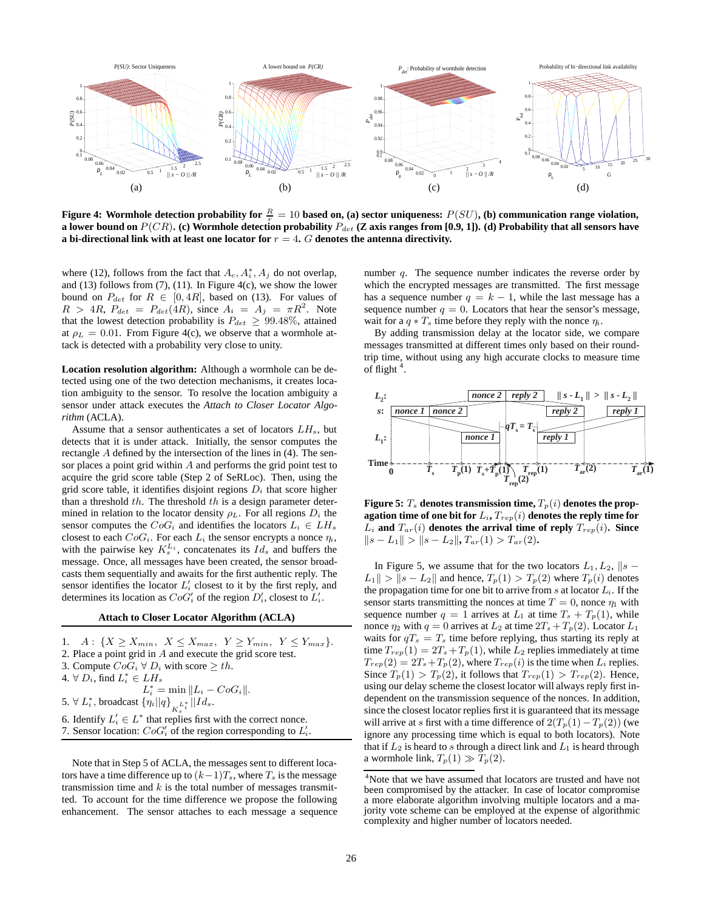

**Figure 4: Wormhole detection probability for**  $\frac{R}{r} = 10$  based on, (a) sector uniqueness:  $P(SU)$ , (b) communication range violation,<br>a lower bound on  $P(CR)$  (c) Wormhole detection probability  $P_L$  (Z axis ranges from **a** lower bound on  $P(CR)$ . (c) Wormhole detection probability  $P_{det}$  (Z axis ranges from [0.9, 1]). (d) Probability that all sensors have **a bi-directional link with at least one locator for** <sup>r</sup> = 4**.** <sup>G</sup> **denotes the antenna directivity.**

where (12), follows from the fact that  $A_c$ ,  $A_i^*$ ,  $A_j$  do not overlap, and (13) follows from (7), (11). In Figure 4(c), we show the lower bound on  $P_{det}$  for  $R \in [0, 4R]$ , based on (13). For values of  $R > 4R$ ,  $P_{det} = P_{det}(4R)$ , since  $A_i = A_j = \pi R^2$ . Note that the lowest detection probability is  $P_{det} \geq 99.48\%$ , attained at  $\rho_L = 0.01$ . From Figure 4(c), we observe that a wormhole attack is detected with a probability very close to unity.

**Location resolution algorithm:** Although a wormhole can be detected using one of the two detection mechanisms, it creates location ambiguity to the sensor. To resolve the location ambiguity a sensor under attack executes the *Attach to Closer Locator Algorithm* (ACLA).

Assume that a sensor authenticates a set of locators  $LH_s$ , but detects that it is under attack. Initially, the sensor computes the rectangle A defined by the intersection of the lines in (4). The sensor places a point grid within A and performs the grid point test to acquire the grid score table (Step 2 of SeRLoc). Then, using the grid score table, it identifies disjoint regions  $D_i$  that score higher than a threshold  $th$ . The threshold  $th$  is a design parameter determined in relation to the locator density  $\rho_L$ . For all regions  $D_i$  the sensor computes the  $CoG_i$  and identifies the locators  $L_i \in LH_s$ closest to each  $CoG_i$ . For each  $L_i$  the sensor encrypts a nonce  $\eta_i$ , with the pairwise key  $K_s^{L_i}$ , concatenates its  $Id_s$  and buffers the message. Once, all messages have been created, the sensor broadcasts them sequentially and awaits for the first authentic reply. The sensor identifies the locator  $L_i$  closest to it by the first reply, and determines its location as  $CoG'_{i}$  of the region  $D'_{i}$ , closest to  $L'_{i}$ .

#### **Attach to Closer Locator Algorithm (ACLA)**

1.  $A: \{X \geq X_{min}, X \leq X_{max}, Y \geq Y_{min}, Y \leq Y_{max}\}.$ 2. Place a point grid in A and execute the grid score test. 3. Compute  $CoG_i \,\forall D_i$  with score  $\geq th$ . 4.  $\forall D_i$ , find  $L_i^* \in LH_s$  $L_i^* = \min \|L_i - CoG_i\|.$ 5.  $\forall L_i^*$ , broadcast  $\{\eta_i || q\}_{K_s^L}^* || Id_s$ . 6. Identify  $L'_i \in L^*$  that replies first with the correct nonce. 7. Sensor location:  $CoG'_{i}$  of the region corresponding to  $L'_{i}$ .

Note that in Step 5 of ACLA, the messages sent to different locators have a time difference up to  $(k-1)T_s$ , where  $T_s$  is the message transmission time and  $k$  is the total number of messages transmitted. To account for the time difference we propose the following enhancement. The sensor attaches to each message a sequence number  $q$ . The sequence number indicates the reverse order by which the encrypted messages are transmitted. The first message has a sequence number  $q = k - 1$ , while the last message has a sequence number  $q = 0$ . Locators that hear the sensor's message, wait for a  $q * T_s$  time before they reply with the nonce  $\eta_i$ .

By adding transmission delay at the locator side, we compare messages transmitted at different times only based on their roundtrip time, without using any high accurate clocks to measure time of flight<sup>4</sup>.



**Figure 5:**  $T_s$  denotes transmission time,  $T_p(i)$  denotes the prop**agation time of one bit for**  $L_i$ **,**  $T_{rep}(i)$  **denotes the reply time for**  $L_i$  and  $T_{ar}(i)$  denotes the arrival time of reply  $T_{rep}(i)$ . Since  $||s - L_1|| > ||s - L_2||$ ,  $T_{ar}(1) > T_{ar}(2)$ .

In Figure 5, we assume that for the two locators  $L_1, L_2, ||s L_1 || > ||s - L_2||$  and hence,  $T_p(1) > T_p(2)$  where  $T_p(i)$  denotes the propagation time for one bit to arrive from s at locator  $L<sub>i</sub>$ . If the sensor starts transmitting the nonces at time  $T = 0$ , nonce  $\eta_1$  with sequence number  $q = 1$  arrives at  $L_1$  at time  $T_s + T_p(1)$ , while nonce  $\eta_2$  with  $q = 0$  arrives at  $L_2$  at time  $2T_s + T_p(2)$ . Locator  $L_1$ waits for  $qT_s = T_s$  time before replying, thus starting its reply at time  $T_{rep}(1) = 2T_s + T_p(1)$ , while  $L_2$  replies immediately at time  $T_{rep}(2) = 2T_s + T_p(2)$ , where  $T_{rep}(i)$  is the time when  $L_i$  replies. Since  $T_p(1) > T_p(2)$ , it follows that  $T_{rep}(1) > T_{rep}(2)$ . Hence, using our delay scheme the closest locator will always reply first independent on the transmission sequence of the nonces. In addition, since the closest locator replies first it is guaranteed that its message will arrive at s first with a time difference of  $2(T_p(1)-T_p(2))$  (we ignore any processing time which is equal to both locators). Note that if  $L_2$  is heard to s through a direct link and  $L_1$  is heard through a wormhole link,  $T_p(1) \gg T_p(2)$ .

<sup>&</sup>lt;sup>4</sup>Note that we have assumed that locators are trusted and have not been compromised by the attacker. In case of locator compromise a more elaborate algorithm involving multiple locators and a majority vote scheme can be employed at the expense of algorithmic complexity and higher number of locators needed.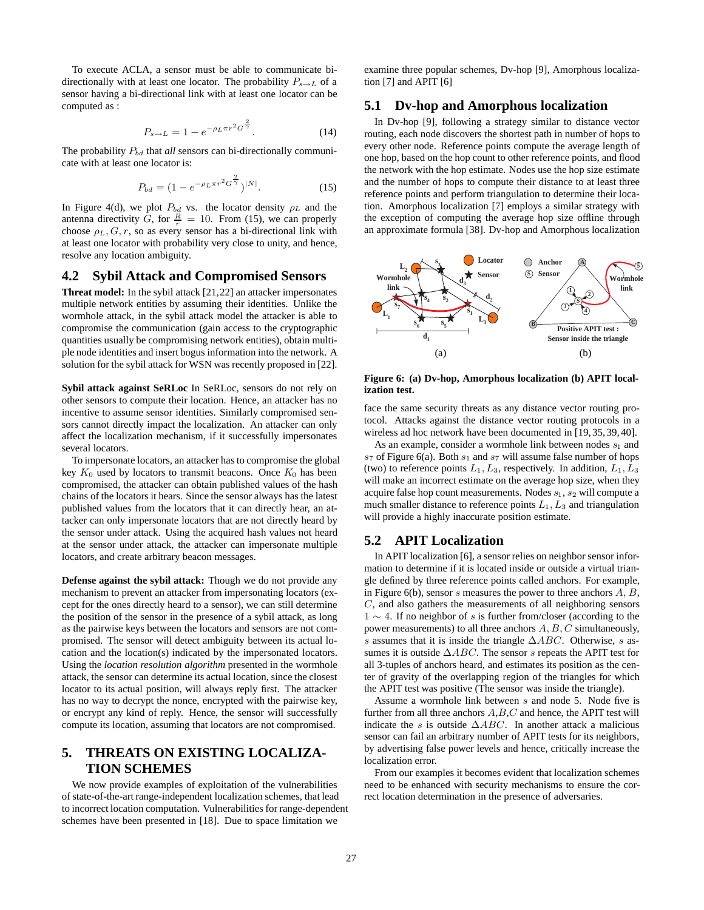To execute ACLA, a sensor must be able to communicate bidirectionally with at least one locator. The probability  $P_{s\rightarrow L}$  of a sensor having a bi-directional link with at least one locator can be computed as :

$$
P_{s \to L} = 1 - e^{-\rho_L \pi r^2 G^{\frac{2}{\gamma}}}.
$$
 (14)

The probability  $P_{bd}$  that *all* sensors can bi-directionally communicate with at least one locator is:

$$
P_{bd} = (1 - e^{-\rho_L \pi r^2 G^{\frac{2}{\gamma}}})^{|N|}.
$$
 (15)

In Figure 4(d), we plot  $P_{bd}$  vs. the locator density  $\rho_L$  and the antenna directivity G, for  $\frac{R}{r} = 10$ . From (15), we can properly choose  $\alpha_k G r$  so as every sensor has a hi-directional link with choose  $\rho_L$ ,  $G$ ,  $r$ , so as every sensor has a bi-directional link with at least one locator with probability very close to unity, and hence, resolve any location ambiguity.

#### **4.2 Sybil Attack and Compromised Sensors**

**Threat model:** In the sybil attack [21,22] an attacker impersonates multiple network entities by assuming their identities. Unlike the wormhole attack, in the sybil attack model the attacker is able to compromise the communication (gain access to the cryptographic quantities usually be compromising network entities), obtain multiple node identities and insert bogus information into the network. A solution for the sybil attack for WSN was recently proposed in [22].

**Sybil attack against SeRLoc** In SeRLoc, sensors do not rely on other sensors to compute their location. Hence, an attacker has no incentive to assume sensor identities. Similarly compromised sensors cannot directly impact the localization. An attacker can only affect the localization mechanism, if it successfully impersonates several locators.

To impersonate locators, an attacker has to compromise the global key  $K_0$  used by locators to transmit beacons. Once  $K_0$  has been compromised, the attacker can obtain published values of the hash chains of the locators it hears. Since the sensor always has the latest published values from the locators that it can directly hear, an attacker can only impersonate locators that are not directly heard by the sensor under attack. Using the acquired hash values not heard at the sensor under attack, the attacker can impersonate multiple locators, and create arbitrary beacon messages.

**Defense against the sybil attack:** Though we do not provide any mechanism to prevent an attacker from impersonating locators (except for the ones directly heard to a sensor), we can still determine the position of the sensor in the presence of a sybil attack, as long as the pairwise keys between the locators and sensors are not compromised. The sensor will detect ambiguity between its actual location and the location(s) indicated by the impersonated locators. Using the *location resolution algorithm* presented in the wormhole attack, the sensor can determine its actual location, since the closest locator to its actual position, will always reply first. The attacker has no way to decrypt the nonce, encrypted with the pairwise key, or encrypt any kind of reply. Hence, the sensor will successfully compute its location, assuming that locators are not compromised.

# **5. THREATS ON EXISTING LOCALIZA-TION SCHEMES**

We now provide examples of exploitation of the vulnerabilities of state-of-the-art range-independent localization schemes, that lead to incorrect location computation. Vulnerabilities for range-dependent schemes have been presented in [18]. Due to space limitation we

examine three popular schemes, Dv-hop [9], Amorphous localization [7] and APIT [6]

#### **5.1 Dv-hop and Amorphous localization**

In Dv-hop [9], following a strategy similar to distance vector routing, each node discovers the shortest path in number of hops to every other node. Reference points compute the average length of one hop, based on the hop count to other reference points, and flood the network with the hop estimate. Nodes use the hop size estimate and the number of hops to compute their distance to at least three reference points and perform triangulation to determine their location. Amorphous localization [7] employs a similar strategy with the exception of computing the average hop size offline through an approximate formula [38]. Dv-hop and Amorphous localization



**Figure 6: (a) Dv-hop, Amorphous localization (b) APIT localization test.**

face the same security threats as any distance vector routing protocol. Attacks against the distance vector routing protocols in a wireless ad hoc network have been documented in [19, 35, 39, 40].

As an example, consider a wormhole link between nodes  $s_1$  and  $s_7$  of Figure 6(a). Both  $s_1$  and  $s_7$  will assume false number of hops (two) to reference points  $L_1, L_3$ , respectively. In addition,  $L_1, L_3$ will make an incorrect estimate on the average hop size, when they acquire false hop count measurements. Nodes  $s_1$ ,  $s_2$  will compute a much smaller distance to reference points  $L_1, L_3$  and triangulation will provide a highly inaccurate position estimate.

# **5.2 APIT Localization**

In APIT localization [6], a sensor relies on neighbor sensor information to determine if it is located inside or outside a virtual triangle defined by three reference points called anchors. For example, in Figure 6(b), sensor s measures the power to three anchors  $A, B$ , C, and also gathers the measurements of all neighboring sensors  $1 \sim 4$ . If no neighbor of s is further from/closer (according to the power measurements) to all three anchors  $A, B, C$  simultaneously, s assumes that it is inside the triangle  $\triangle ABC$ . Otherwise, s assumes it is outside  $\triangle ABC$ . The sensor s repeats the APIT test for all 3-tuples of anchors heard, and estimates its position as the center of gravity of the overlapping region of the triangles for which the APIT test was positive (The sensor was inside the triangle).

Assume a wormhole link between s and node 5. Node five is further from all three anchors  $A, B, C$  and hence, the APIT test will indicate the s is outside  $\triangle ABC$ . In another attack a malicious sensor can fail an arbitrary number of APIT tests for its neighbors, by advertising false power levels and hence, critically increase the localization error.

From our examples it becomes evident that localization schemes need to be enhanced with security mechanisms to ensure the correct location determination in the presence of adversaries.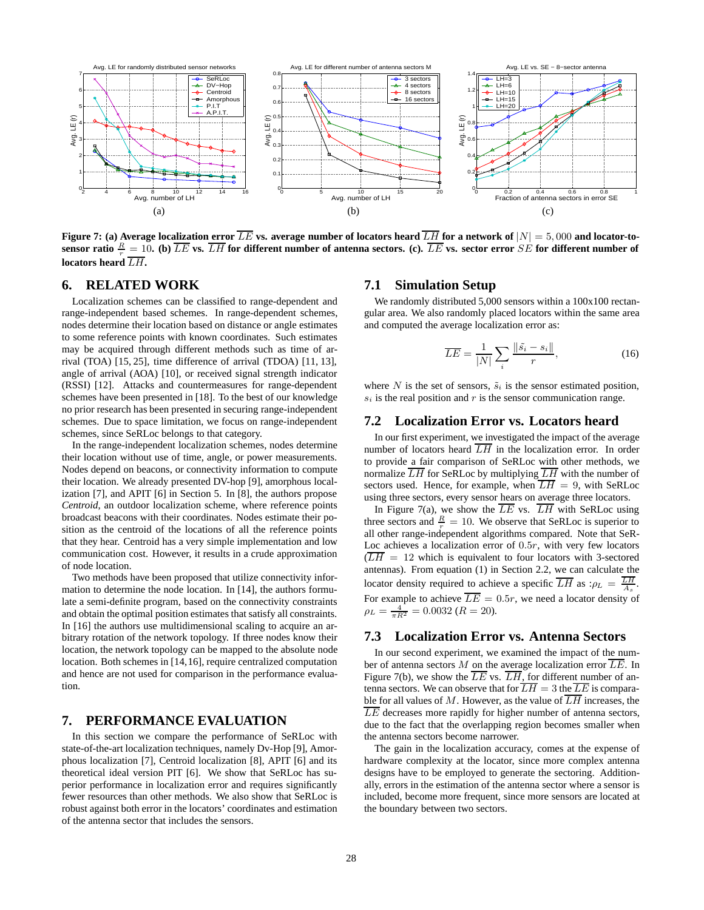

Figure 7: (a) Average localization error LE vs. average number of locators heard LH for a network of  $|N| = 5,000$  and locator-to-<br>sensor ratio  $\frac{R}{r} = 10$ . (b)  $\overline{LE}$  vs.  $\overline{LH}$  for different number of antenna sect **locators heard** LH**.**

# **6. RELATED WORK**

Localization schemes can be classified to range-dependent and range-independent based schemes. In range-dependent schemes, nodes determine their location based on distance or angle estimates to some reference points with known coordinates. Such estimates may be acquired through different methods such as time of arrival (TOA) [15, 25], time difference of arrival (TDOA) [11, 13], angle of arrival (AOA) [10], or received signal strength indicator (RSSI) [12]. Attacks and countermeasures for range-dependent schemes have been presented in [18]. To the best of our knowledge no prior research has been presented in securing range-independent schemes. Due to space limitation, we focus on range-independent schemes, since SeRLoc belongs to that category.

In the range-independent localization schemes, nodes determine their location without use of time, angle, or power measurements. Nodes depend on beacons, or connectivity information to compute their location. We already presented DV-hop [9], amorphous localization [7], and APIT [6] in Section 5. In [8], the authors propose *Centroid*, an outdoor localization scheme, where reference points broadcast beacons with their coordinates. Nodes estimate their position as the centroid of the locations of all the reference points that they hear. Centroid has a very simple implementation and low communication cost. However, it results in a crude approximation of node location.

Two methods have been proposed that utilize connectivity information to determine the node location. In [14], the authors formulate a semi-definite program, based on the connectivity constraints and obtain the optimal position estimates that satisfy all constraints. In [16] the authors use multidimensional scaling to acquire an arbitrary rotation of the network topology. If three nodes know their location, the network topology can be mapped to the absolute node location. Both schemes in [14,16], require centralized computation and hence are not used for comparison in the performance evaluation.

# **7. PERFORMANCE EVALUATION**

In this section we compare the performance of SeRLoc with state-of-the-art localization techniques, namely Dv-Hop [9], Amorphous localization [7], Centroid localization [8], APIT [6] and its theoretical ideal version PIT [6]. We show that SeRLoc has superior performance in localization error and requires significantly fewer resources than other methods. We also show that SeRLoc is robust against both error in the locators' coordinates and estimation of the antenna sector that includes the sensors.

### **7.1 Simulation Setup**

We randomly distributed 5,000 sensors within a 100x100 rectangular area. We also randomly placed locators within the same area and computed the average localization error as:

$$
\overline{LE} = \frac{1}{|N|} \sum_{i} \frac{\|\tilde{s_i} - s_i\|}{r}, \tag{16}
$$

where N is the set of sensors,  $\tilde{s}_i$  is the sensor estimated position,  $s_i$  is the real position and r is the sensor communication range.

# **7.2 Localization Error vs. Locators heard**

In our first experiment, we investigated the impact of the average number of locators heard  $\overline{LH}$  in the localization error. In order to provide a fair comparison of SeRLoc with other methods, we normalize  $\overline{LH}$  for SeRLoc by multiplying  $\overline{LH}$  with the number of sectors used. Hence, for example, when  $\overline{LH} = 9$ , with SeRLoc using three sectors, every sensor hears on average three locators.

In Figure 7(a), we show the  $\overline{LE}$  vs.  $\overline{LH}$  with SeRLoc using three sectors and  $\frac{R}{r} = 10$ . We observe that SeRLoc is superior to all other range-independent algorithms compared. Note that SeRall other range-independent algorithms compared. Note that SeR-Loc achieves a localization error of  $0.5r$ , with very few locators  $(\overline{LH} = 12)$  which is equivalent to four locators with 3-sectored antennas). From equation (1) in Section 2.2, we can calculate the locator density required to achieve a specific  $\overline{LH}$  as : $\rho_L = \frac{LH}{\lambda_s}$ . For example to achieve  $\overline{LE} = 0.5r$ , we need a locator density of  $\rho_L = \frac{4}{\pi R^2} = 0.0032 \ (R = 20).$ 

#### **7.3 Localization Error vs. Antenna Sectors**

In our second experiment, we examined the impact of the number of antenna sectors M on the average localization error  $\overline{LE}$ . In Figure 7(b), we show the  $\overline{LE}$  vs.  $\overline{LH}$ , for different number of antenna sectors. We can observe that for  $\overline{LH} = 3$  the  $\overline{LE}$  is comparable for all values of M. However, as the value of  $\overline{LH}$  increases, the  $\overline{LE}$  decreases more rapidly for higher number of antenna sectors, due to the fact that the overlapping region becomes smaller when the antenna sectors become narrower.

The gain in the localization accuracy, comes at the expense of hardware complexity at the locator, since more complex antenna designs have to be employed to generate the sectoring. Additionally, errors in the estimation of the antenna sector where a sensor is included, become more frequent, since more sensors are located at the boundary between two sectors.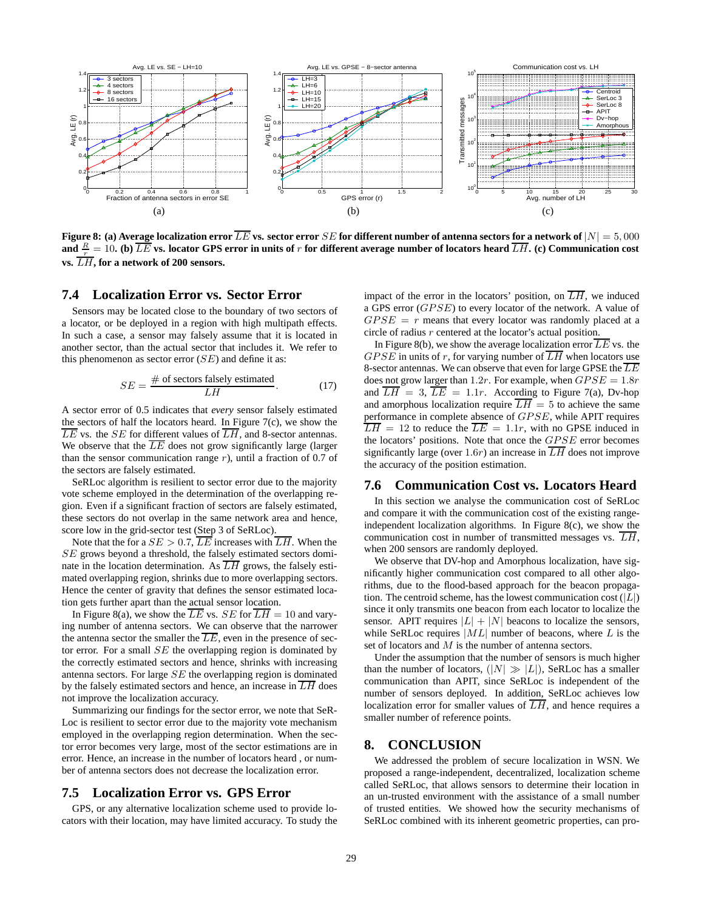

**Figure 8:** (a) Average localization error  $\overline{LE}$  vs. sector error  $SE$  for different number of antenna sectors for a network of  $|N| = 5,000$ and  $\frac{R}{r} = 10$ . (b)  $\overline{LE}$  vs. locator GPS error in units of r for different average number of locators heard  $\overline{LH}$ . (c) Communication cost **vs.** LH**, for a network of 200 sensors.**

#### **7.4 Localization Error vs. Sector Error**

Sensors may be located close to the boundary of two sectors of a locator, or be deployed in a region with high multipath effects. In such a case, a sensor may falsely assume that it is located in another sector, than the actual sector that includes it. We refer to this phenomenon as sector error  $(SE)$  and define it as:

$$
SE = \frac{\text{# of sectors falsely estimated}}{LH}.
$$
 (17)

A sector error of 0.5 indicates that *every* sensor falsely estimated the sectors of half the locators heard. In Figure 7(c), we show the  $\overline{LE}$  vs. the SE for different values of  $\overline{LH}$ , and 8-sector antennas. We observe that the  $\overline{LE}$  does not grow significantly large (larger than the sensor communication range  $r$ ), until a fraction of 0.7 of the sectors are falsely estimated.

SeRLoc algorithm is resilient to sector error due to the majority vote scheme employed in the determination of the overlapping region. Even if a significant fraction of sectors are falsely estimated, these sectors do not overlap in the same network area and hence, score low in the grid-sector test (Step 3 of SeRLoc).

Note that the for a  $SE > 0.7$ ,  $\overline{LE}$  increases with  $\overline{LH}$ . When the SE grows beyond a threshold, the falsely estimated sectors dominate in the location determination. As  $\overline{LH}$  grows, the falsely estimated overlapping region, shrinks due to more overlapping sectors. Hence the center of gravity that defines the sensor estimated location gets further apart than the actual sensor location.

In Figure 8(a), we show the  $\overline{LE}$  vs. SE for  $\overline{LH} = 10$  and varying number of antenna sectors. We can observe that the narrower the antenna sector the smaller the  $\overline{LE}$ , even in the presence of sector error. For a small  $SE$  the overlapping region is dominated by the correctly estimated sectors and hence, shrinks with increasing antenna sectors. For large SE the overlapping region is dominated by the falsely estimated sectors and hence, an increase in  $\overline{LH}$  does not improve the localization accuracy.

Summarizing our findings for the sector error, we note that SeR-Loc is resilient to sector error due to the majority vote mechanism employed in the overlapping region determination. When the sector error becomes very large, most of the sector estimations are in error. Hence, an increase in the number of locators heard , or number of antenna sectors does not decrease the localization error.

## **7.5 Localization Error vs. GPS Error**

GPS, or any alternative localization scheme used to provide locators with their location, may have limited accuracy. To study the

impact of the error in the locators' position, on  $\overline{LH}$ , we induced a GPS error  $(GPSE)$  to every locator of the network. A value of  $GPSE = r$  means that every locator was randomly placed at a circle of radius r centered at the locator's actual position.

In Figure 8(b), we show the average localization error  $\overline{LE}$  vs. the GPSE in units of r, for varying number of  $\overline{LH}$  when locators use 8-sector antennas. We can observe that even for large GPSE the  $\overline{LE}$ does not grow larger than 1.2r. For example, when  $GPSE = 1.8r$ <br>and  $\overline{LH} = 3$ ,  $\overline{LE} = 1.1r$ . According to Figure 7(a), Dv-hop and  $LH = 3$ ,  $LE = 1.1r$ . According to Figure 7(a), Dv-hop and amorphous localization require  $LH = 5$  to achieve the same<br>performance in complete absence of  $CPSE$ , while APIT requires performance in complete absence of *GPSE*, while APIT requires  $\overline{LH} = 12$  to reduce the  $\overline{LE} = 1.1r$ , with no GPSE induced in  $\overline{LH} = 12$  to reduce the  $\overline{LE} = 1.1r$ , with no GPSE induced in the locators' positions. Note that once the *GPSE* error becomes significantly large (over 1.6*r*) an increase in  $\overline{LH}$  does not improve the accuracy of the position estimation.

#### **7.6 Communication Cost vs. Locators Heard**

In this section we analyse the communication cost of SeRLoc and compare it with the communication cost of the existing rangeindependent localization algorithms. In Figure 8(c), we show the communication cost in number of transmitted messages vs.  $\overline{LH}$ , when 200 sensors are randomly deployed.

We observe that DV-hop and Amorphous localization, have significantly higher communication cost compared to all other algorithms, due to the flood-based approach for the beacon propagation. The centroid scheme, has the lowest communication cost  $(|L|)$ since it only transmits one beacon from each locator to localize the sensor. APIT requires  $|L| + |N|$  beacons to localize the sensors, while SeRLoc requires  $|ML|$  number of beacons, where L is the set of locators and M is the number of antenna sectors.

Under the assumption that the number of sensors is much higher than the number of locators,  $(|N| \gg |L|)$ , SeRLoc has a smaller communication than APIT, since SeRLoc is independent of the number of sensors deployed. In addition, SeRLoc achieves low localization error for smaller values of LH, and hence requires a smaller number of reference points.

# **8. CONCLUSION**

We addressed the problem of secure localization in WSN. We proposed a range-independent, decentralized, localization scheme called SeRLoc, that allows sensors to determine their location in an un-trusted environment with the assistance of a small number of trusted entities. We showed how the security mechanisms of SeRLoc combined with its inherent geometric properties, can pro